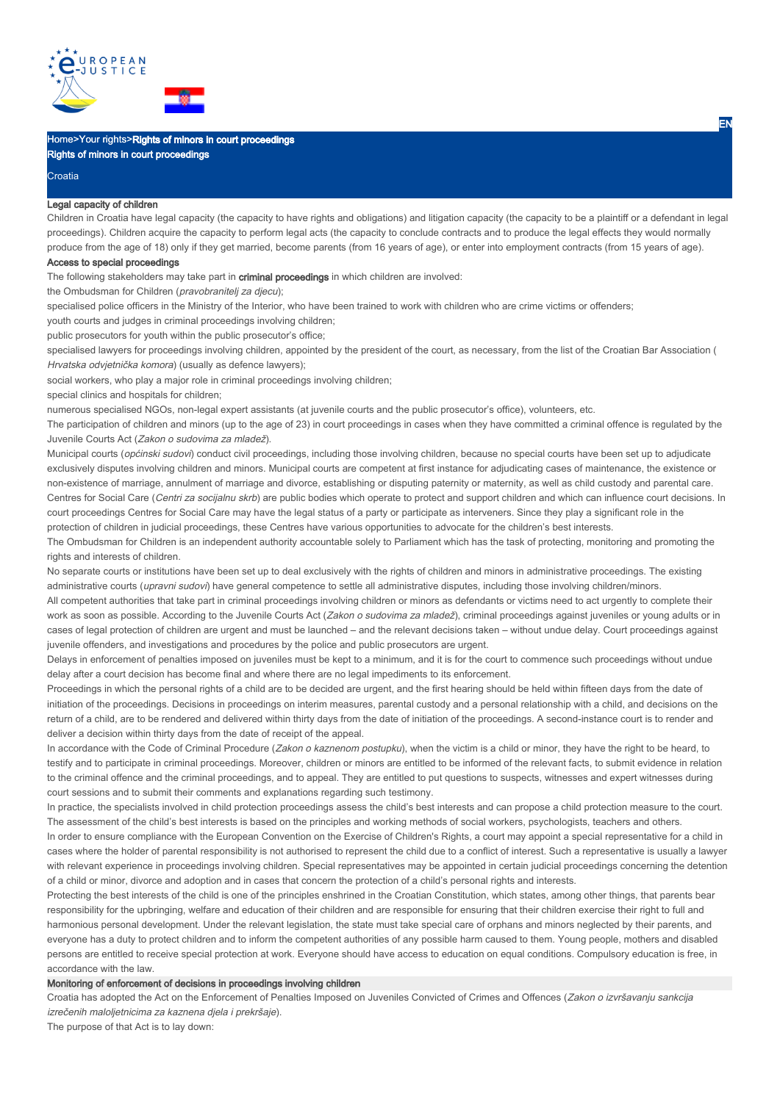

# Home>Your rights>Rights of minors in court proceedings Rights of minors in court proceedings

#### Croatia

### Legal capacity of children

Children in Croatia have legal capacity (the capacity to have rights and obligations) and litigation capacity (the capacity to be a plaintiff or a defendant in legal proceedings). Children acquire the capacity to perform legal acts (the capacity to conclude contracts and to produce the legal effects they would normally produce from the age of 18) only if they get married, become parents (from 16 years of age), or enter into employment contracts (from 15 years of age).

### Access to special proceedings

The following stakeholders may take part in criminal proceedings in which children are involved:

the Ombudsman for Children (pravobranitelj za djecu);

specialised police officers in the Ministry of the Interior, who have been trained to work with children who are crime victims or offenders;

youth courts and judges in criminal proceedings involving children;

public prosecutors for youth within the public prosecutor's office;

specialised lawyers for proceedings involving children, appointed by the president of the court, as necessary, from the list of the Croatian Bar Association ( Hrvatska odvjetnička komora) (usually as defence lawyers);

social workers, who play a major role in criminal proceedings involving children;

special clinics and hospitals for children;

numerous specialised NGOs, non-legal expert assistants (at juvenile courts and the public prosecutor's office), volunteers, etc.

The participation of children and minors (up to the age of 23) in court proceedings in cases when they have committed a criminal offence is regulated by the Juvenile Courts Act (Zakon o sudovima za mladež).

Municipal courts (općinski sudovi) conduct civil proceedings, including those involving children, because no special courts have been set up to adjudicate exclusively disputes involving children and minors. Municipal courts are competent at first instance for adjudicating cases of maintenance, the existence or non-existence of marriage, annulment of marriage and divorce, establishing or disputing paternity or maternity, as well as child custody and parental care. Centres for Social Care (Centri za socijalnu skrb) are public bodies which operate to protect and support children and which can influence court decisions. In court proceedings Centres for Social Care may have the legal status of a party or participate as interveners. Since they play a significant role in the protection of children in judicial proceedings, these Centres have various opportunities to advocate for the children's best interests.

The Ombudsman for Children is an independent authority accountable solely to Parliament which has the task of protecting, monitoring and promoting the rights and interests of children.

No separate courts or institutions have been set up to deal exclusively with the rights of children and minors in administrative proceedings. The existing administrative courts (upravni sudovi) have general competence to settle all administrative disputes, including those involving children/minors.

All competent authorities that take part in criminal proceedings involving children or minors as defendants or victims need to act urgently to complete their work as soon as possible. According to the Juvenile Courts Act (Zakon o sudovima za mladež), criminal proceedings against juveniles or young adults or in cases of legal protection of children are urgent and must be launched – and the relevant decisions taken – without undue delay. Court proceedings against juvenile offenders, and investigations and procedures by the police and public prosecutors are urgent.

Delays in enforcement of penalties imposed on juveniles must be kept to a minimum, and it is for the court to commence such proceedings without undue delay after a court decision has become final and where there are no legal impediments to its enforcement.

Proceedings in which the personal rights of a child are to be decided are urgent, and the first hearing should be held within fifteen days from the date of initiation of the proceedings. Decisions in proceedings on interim measures, parental custody and a personal relationship with a child, and decisions on the return of a child, are to be rendered and delivered within thirty days from the date of initiation of the proceedings. A second-instance court is to render and deliver a decision within thirty days from the date of receipt of the appeal.

In accordance with the Code of Criminal Procedure (Zakon o kaznenom postupku), when the victim is a child or minor, they have the right to be heard, to testify and to participate in criminal proceedings. Moreover, children or minors are entitled to be informed of the relevant facts, to submit evidence in relation to the criminal offence and the criminal proceedings, and to appeal. They are entitled to put questions to suspects, witnesses and expert witnesses during court sessions and to submit their comments and explanations regarding such testimony.

In practice, the specialists involved in child protection proceedings assess the child's best interests and can propose a child protection measure to the court. The assessment of the child's best interests is based on the principles and working methods of social workers, psychologists, teachers and others. In order to ensure compliance with the European Convention on the Exercise of Children's Rights, a court may appoint a special representative for a child in cases where the holder of parental responsibility is not authorised to represent the child due to a conflict of interest. Such a representative is usually a lawyer with relevant experience in proceedings involving children. Special representatives may be appointed in certain judicial proceedings concerning the detention of a child or minor, divorce and adoption and in cases that concern the protection of a child's personal rights and interests.

Protecting the best interests of the child is one of the principles enshrined in the Croatian Constitution, which states, among other things, that parents bear responsibility for the upbringing, welfare and education of their children and are responsible for ensuring that their children exercise their right to full and harmonious personal development. Under the relevant legislation, the state must take special care of orphans and minors neglected by their parents, and everyone has a duty to protect children and to inform the competent authorities of any possible harm caused to them. Young people, mothers and disabled persons are entitled to receive special protection at work. Everyone should have access to education on equal conditions. Compulsory education is free, in accordance with the law.

## Monitoring of enforcement of decisions in proceedings involving children

Croatia has adopted the Act on the Enforcement of Penalties Imposed on Juveniles Convicted of Crimes and Offences (Zakon o izvršavanju sankcija izrečenih maloljetnicima za kaznena djela i prekršaje).

The purpose of that Act is to lay down: